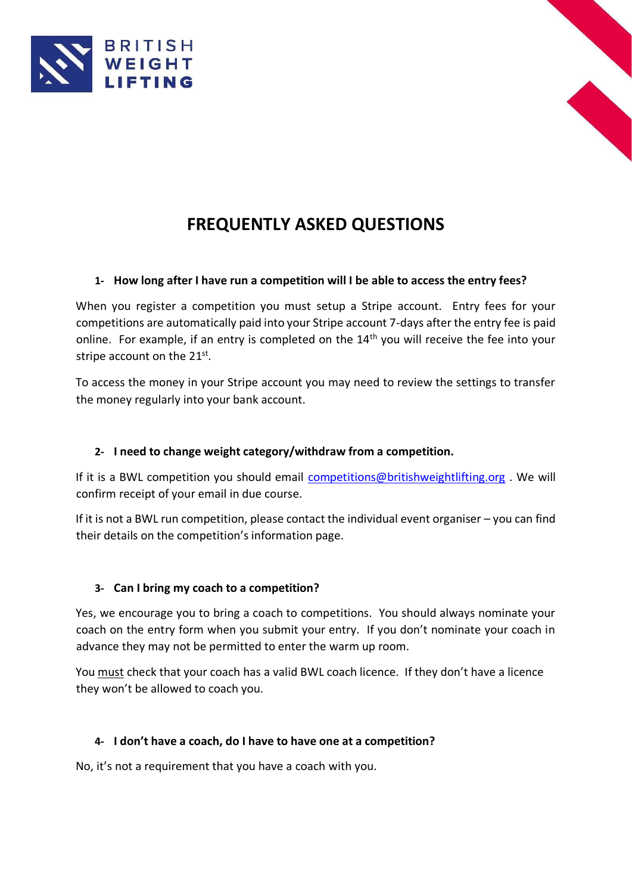



# **FREQUENTLY ASKED QUESTIONS**

## **1- How long after I have run a competition will I be able to access the entry fees?**

When you register a competition you must setup a Stripe account. Entry fees for your competitions are automatically paid into your Stripe account 7-days after the entry fee is paid online. For example, if an entry is completed on the 14<sup>th</sup> you will receive the fee into your stripe account on the  $21^{st}$ .

To access the money in your Stripe account you may need to review the settings to transfer the money regularly into your bank account.

## **2- I need to change weight category/withdraw from a competition.**

If it is a BWL competition you should email competitions@britishweightlifting.org. We will confirm receipt of your email in due course.

If it is not a BWL run competition, please contact the individual event organiser – you can find their details on the competition's information page.

## **3- Can I bring my coach to a competition?**

Yes, we encourage you to bring a coach to competitions. You should always nominate your coach on the entry form when you submit your entry. If you don't nominate your coach in advance they may not be permitted to enter the warm up room.

You must check that your coach has a valid BWL coach licence. If they don't have a licence they won't be allowed to coach you.

## **4- I don't have a coach, do I have to have one at a competition?**

No, it's not a requirement that you have a coach with you.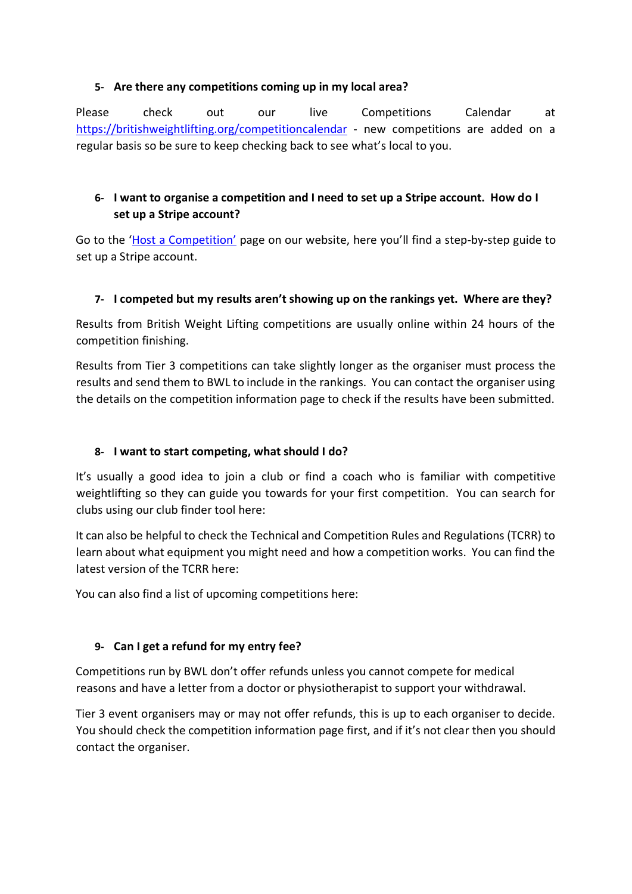## **5- Are there any competitions coming up in my local area?**

Please check out our live Competitions Calendar at [https://britishweightlifting.org/competitioncalendar](https://britishweightlifting.org/competition-calendar) - new competitions are added on a regular basis so be sure to keep checking back to see what's local to you.

## **6- I want to organise a competition and I need to set up a Stripe account. How do I set up a Stripe account?**

Go to the ['](https://britishweightlifting.org/competitions/host-a-competition)[Host a Competition](https://britishweightlifting.org/competitions/host-a-competition)['](https://britishweightlifting.org/competitions/host-a-competition) page on our website, here you'll find a step-by-step guide to set up a Stripe account.

## **7- I competed but my results aren't showing up on the rankings yet. Where are they?**

Results from British Weight Lifting competitions are usually online within 24 hours of the competition finishing.

Results from Tier 3 competitions can take slightly longer as the organiser must process the results and send them to BWL to include in the rankings. You can contact the organiser using the details on the competition information page to check if the results have been submitted.

## **8- I want to start competing, what should I do?**

It's usually a good idea to join a club or find a coach who is familiar with competitive weightlifting so they can guide you towards for your first competition. You can search for clubs using our club finder tool here:

It can also be helpful to check the Technical and Competition Rules and Regulations (TCRR) to learn about what equipment you might need and how a competition works. You can find the latest version of the TCRR here:

You can also find a list of upcoming competitions here:

## **9- Can I get a refund for my entry fee?**

Competitions run by BWL don't offer refunds unless you cannot compete for medical reasons and have a letter from a doctor or physiotherapist to support your withdrawal.

Tier 3 event organisers may or may not offer refunds, this is up to each organiser to decide. You should check the competition information page first, and if it's not clear then you should contact the organiser.